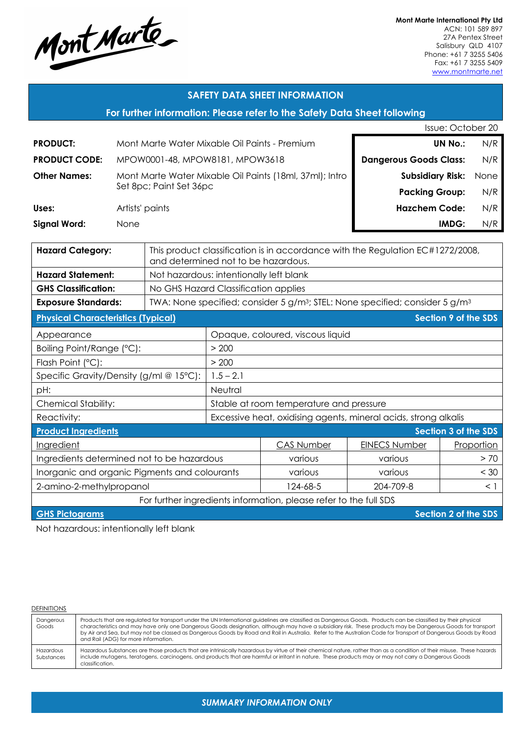

**Mont Marte International Pty Ltd** ACN: 101 589 897 27A Pentex Street Salisbury QLD 4107 Phone: +61 7 3255 5406 Fax: +61 7 3255 5409 www.montmarte.net

### **SAFETY DATA SHEET INFORMATION**

**For further information: Please refer to the Safety Data Sheet following**

|                      |                                                                                    | Issue: October 20             |      |
|----------------------|------------------------------------------------------------------------------------|-------------------------------|------|
| <b>PRODUCT:</b>      | Mont Marte Water Mixable Oil Paints - Premium                                      | UN No.:                       | N/R  |
| <b>PRODUCT CODE:</b> | MPOW0001-48, MPOW8181, MPOW3618                                                    | <b>Dangerous Goods Class:</b> | N/R  |
| <b>Other Names:</b>  | Mont Marte Water Mixable Oil Paints (18ml, 37ml); Intro<br>Set 8pc; Paint Set 36pc | <b>Subsidiary Risk:</b>       | None |
|                      |                                                                                    | <b>Packing Group:</b>         | N/R  |
| Uses:                | Artists' paints                                                                    | <b>Hazchem Code:</b>          | N/R  |
| <b>Signal Word:</b>  | <b>None</b>                                                                        | IMDG:                         | N/R  |
|                      |                                                                                    |                               |      |

| <b>Hazard Category:</b>                                           | This product classification is in accordance with the Regulation EC#1272/2008,<br>and determined not to be hazardous. |                                                                 |                   |                      |            |
|-------------------------------------------------------------------|-----------------------------------------------------------------------------------------------------------------------|-----------------------------------------------------------------|-------------------|----------------------|------------|
| <b>Hazard Statement:</b>                                          | Not hazardous: intentionally left blank                                                                               |                                                                 |                   |                      |            |
| <b>GHS Classification:</b>                                        | No GHS Hazard Classification applies                                                                                  |                                                                 |                   |                      |            |
| <b>Exposure Standards:</b>                                        | TWA: None specified; consider 5 g/m <sup>3</sup> ; STEL: None specified; consider 5 g/m <sup>3</sup>                  |                                                                 |                   |                      |            |
| <b>Physical Characteristics (Typical)</b><br>Section 9 of the SDS |                                                                                                                       |                                                                 |                   |                      |            |
| Appearance                                                        |                                                                                                                       | Opaque, coloured, viscous liquid                                |                   |                      |            |
| Boiling Point/Range (°C):                                         |                                                                                                                       | > 200                                                           |                   |                      |            |
| Flash Point (°C):                                                 |                                                                                                                       | > 200                                                           |                   |                      |            |
| Specific Gravity/Density (g/ml @ 15°C):                           |                                                                                                                       | $1.5 - 2.1$                                                     |                   |                      |            |
| pH:                                                               |                                                                                                                       | Neutral                                                         |                   |                      |            |
| <b>Chemical Stability:</b>                                        |                                                                                                                       | Stable at room temperature and pressure                         |                   |                      |            |
| Reactivity:                                                       |                                                                                                                       | Excessive heat, oxidising agents, mineral acids, strong alkalis |                   |                      |            |
| Section 3 of the SDS<br><b>Product Ingredients</b>                |                                                                                                                       |                                                                 |                   |                      |            |
| <b>Ingredient</b>                                                 |                                                                                                                       |                                                                 | <b>CAS Number</b> | <b>EINECS Number</b> | Proportion |
| Ingredients determined not to be hazardous                        |                                                                                                                       | various                                                         | various           | > 70                 |            |
| Inorganic and organic Pigments and colourants                     |                                                                                                                       | various                                                         | various           | < 30                 |            |
| 2-amino-2-methylpropanol                                          |                                                                                                                       |                                                                 | 124-68-5          | 204-709-8            | $\leq$ 1   |
| For further ingredients information, please refer to the full SDS |                                                                                                                       |                                                                 |                   |                      |            |

**GHS Pictograms Section 2 of the SDS** 

Not hazardous: intentionally left blank

#### DEFINITIONS

| Dangerous<br>Goods      | Products that are regulated for transport under the UN International guidelines are classified as Dangerous Goods. Products can be classified by their physical<br>characteristics and may have only one Dangerous Goods designation, although may have a subsidiary risk. These products may be Dangerous Goods for transport<br>by Air and Sea, but may not be classed as Dangerous Goods by Road and Rail in Australia. Refer to the Australian Code for Transport of Dangerous Goods by Road<br>and Rail (ADG) for more information. |
|-------------------------|------------------------------------------------------------------------------------------------------------------------------------------------------------------------------------------------------------------------------------------------------------------------------------------------------------------------------------------------------------------------------------------------------------------------------------------------------------------------------------------------------------------------------------------|
| Hazardous<br>Substances | Hazardous Substances are those products that are intrinsically hazardous by virtue of their chemical nature, rather than as a condition of their misuse. These hazards<br>include mutagens, teratogens, carcinogens, and products that are harmful or irritant in nature. These products may or may not carry a Dangerous Goods<br>classification.                                                                                                                                                                                       |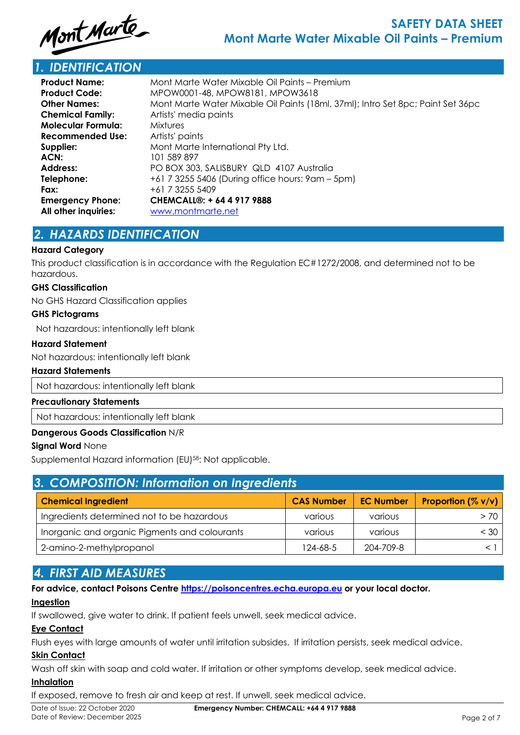

# *1. IDENTIFICATION*

| Mont Marte Water Mixable Oil Paints – Premium                                   |
|---------------------------------------------------------------------------------|
| MPOW0001-48, MPOW8181, MPOW3618                                                 |
| Mont Marte Water Mixable Oil Paints (18ml, 37ml); Intro Set 8pc; Paint Set 36pc |
| Artists' media paints                                                           |
| <b>Mixtures</b>                                                                 |
| Artists' paints                                                                 |
| Mont Marte International Pty Ltd.                                               |
| 101 589 897                                                                     |
| PO BOX 303, SALISBURY QLD 4107 Australia                                        |
| +61 7 3255 5406 (During office hours: 9am - 5pm)                                |
| +61 7 3255 5409                                                                 |
| CHEMCALL®: + 64 4 917 9888                                                      |
| www.montmarte.net                                                               |
|                                                                                 |

### *2. HAZARDS IDENTIFICATION*

### **Hazard Category**

This product classification is in accordance with the Regulation EC#1272/2008, and determined not to be hazardous.

### **GHS Classification**

No GHS Hazard Classification applies

### **GHS Pictograms**

Not hazardous: intentionally left blank

### **Hazard Statement**

Not hazardous: intentionally left blank

### **Hazard Statements**

Not hazardous: intentionally left blank

### **Precautionary Statements**

Not hazardous: intentionally left blank

### **Dangerous Goods Classification** N/R

### **Signal Word** None

Supplemental Hazard information (EU)58: Not applicable.

| 3. COMPOSITION: Information on Ingredients    |                   |                  |                       |
|-----------------------------------------------|-------------------|------------------|-----------------------|
| <b>Chemical Ingredient</b>                    | <b>CAS Number</b> | <b>EC Number</b> | Proportion $(\% v/v)$ |
| Ingredients determined not to be hazardous    | various           | various          | > 70                  |
| Inorganic and organic Pigments and colourants | various           | various          | < 30                  |
| 2-amino-2-methylpropanol                      | 124-68-5          | 204-709-8        |                       |

### *4. FIRST AID MEASURES*

### **For advice, contact Poisons Centre https://poisoncentres.echa.europa.eu or your local doctor.**

### **Ingestion**

If swallowed, give water to drink. If patient feels unwell, seek medical advice.

### **Eye Contact**

Flush eyes with large amounts of water until irritation subsides. If irritation persists, seek medical advice.

### **Skin Contact**

Wash off skin with soap and cold water. If irritation or other symptoms develop, seek medical advice.

### **Inhalation**

If exposed, remove to fresh air and keep at rest. If unwell, seek medical advice.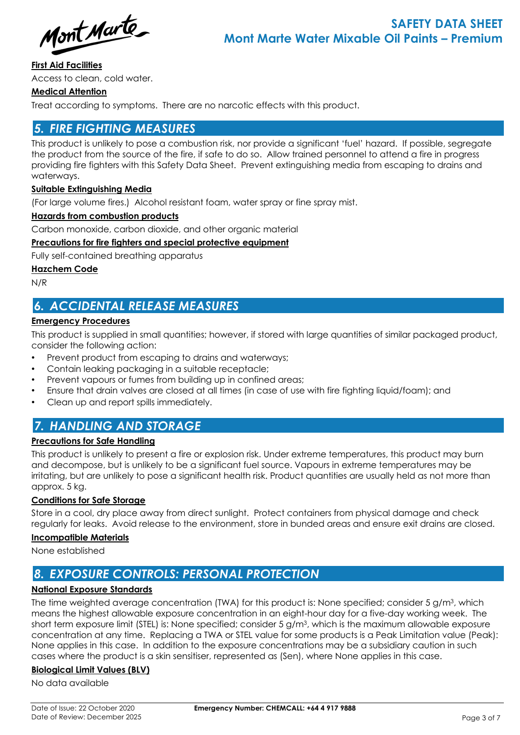Mont Marte

### **First Aid Facilities**

Access to clean, cold water.

### **Medical Attention**

Treat according to symptoms. There are no narcotic effects with this product.

### *5. FIRE FIGHTING MEASURES*

This product is unlikely to pose a combustion risk, nor provide a significant 'fuel' hazard. If possible, segregate the product from the source of the fire, if safe to do so. Allow trained personnel to attend a fire in progress providing fire fighters with this Safety Data Sheet. Prevent extinguishing media from escaping to drains and waterways.

### **Suitable Extinguishing Media**

(For large volume fires.) Alcohol resistant foam, water spray or fine spray mist.

### **Hazards from combustion products**

Carbon monoxide, carbon dioxide, and other organic material

### **Precautions for fire fighters and special protective equipment**

Fully self-contained breathing apparatus

### **Hazchem Code**

N/R

### *6. ACCIDENTAL RELEASE MEASURES*

### **Emergency Procedures**

This product is supplied in small quantities; however, if stored with large quantities of similar packaged product, consider the following action:

- Prevent product from escaping to drains and waterways;
- Contain leaking packaging in a suitable receptacle;
- Prevent vapours or fumes from building up in confined areas;
- Ensure that drain valves are closed at all times (in case of use with fire fighting liquid/foam); and
- Clean up and report spills immediately.

### *7. HANDLING AND STORAGE*

### **Precautions for Safe Handling**

This product is unlikely to present a fire or explosion risk. Under extreme temperatures, this product may burn and decompose, but is unlikely to be a significant fuel source. Vapours in extreme temperatures may be irritating, but are unlikely to pose a significant health risk. Product quantities are usually held as not more than approx. 5 kg.

### **Conditions for Safe Storage**

Store in a cool, dry place away from direct sunlight. Protect containers from physical damage and check regularly for leaks. Avoid release to the environment, store in bunded areas and ensure exit drains are closed.

### **Incompatible Materials**

None established

### *8. EXPOSURE CONTROLS: PERSONAL PROTECTION*

### **National Exposure Standards**

The time weighted average concentration (TWA) for this product is: None specified; consider 5 g/m<sup>3</sup>, which means the highest allowable exposure concentration in an eight-hour day for a five-day working week. The short term exposure limit (STEL) is: None specified; consider 5 g/m3, which is the maximum allowable exposure concentration at any time. Replacing a TWA or STEL value for some products is a Peak Limitation value (Peak): None applies in this case. In addition to the exposure concentrations may be a subsidiary caution in such cases where the product is a skin sensitiser, represented as (Sen), where None applies in this case.

### **Biological Limit Values (BLV)**

No data available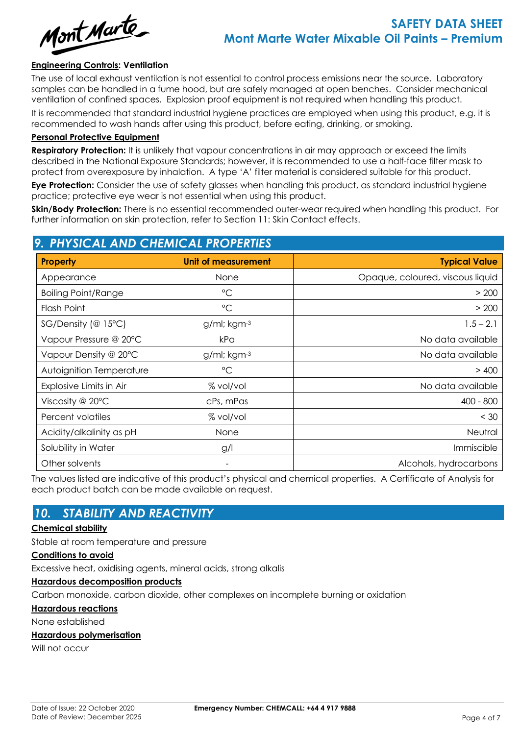

### **SAFETY DATA SHEET Mont Marte Water Mixable Oil Paints – Premium**

### **Engineering Controls: Ventilation**

The use of local exhaust ventilation is not essential to control process emissions near the source. Laboratory samples can be handled in a fume hood, but are safely managed at open benches. Consider mechanical ventilation of confined spaces. Explosion proof equipment is not required when handling this product.

It is recommended that standard industrial hygiene practices are employed when using this product, e.g. it is recommended to wash hands after using this product, before eating, drinking, or smoking.

### **Personal Protective Equipment**

**Respiratory Protection:** It is unlikely that vapour concentrations in air may approach or exceed the limits described in the National Exposure Standards; however, it is recommended to use a half-face filter mask to protect from overexposure by inhalation. A type 'A' filter material is considered suitable for this product.

**Eye Protection:** Consider the use of safety glasses when handling this product, as standard industrial hygiene practice; protective eye wear is not essential when using this product.

**Skin/Body Protection:** There is no essential recommended outer-wear required when handling this product. For further information on skin protection, refer to Section 11: Skin Contact effects.

### *9. PHYSICAL AND CHEMICAL PROPERTIES*

| <b>Property</b>            | <b>Unit of measurement</b> | <b>Typical Value</b>             |
|----------------------------|----------------------------|----------------------------------|
| Appearance                 | None                       | Opaque, coloured, viscous liquid |
| <b>Boiling Point/Range</b> | $\rm ^{\circ}C$            | > 200                            |
| Flash Point                | $\rm ^{\circ}C$            | > 200                            |
| SG/Density (@ 15°C)        | g/ml; kgm-3                | $1.5 - 2.1$                      |
| Vapour Pressure @ 20°C     | kPa                        | No data available                |
| Vapour Density @ 20°C      | g/ml; kgm-3                | No data available                |
| Autoignition Temperature   | $^{\circ}C$                | > 400                            |
| Explosive Limits in Air    | % vol/vol                  | No data available                |
| Viscosity @ $20^{\circ}$ C | cPs, mPas                  | $400 - 800$                      |
| Percent volatiles          | % vol/vol                  | < 30                             |
| Acidity/alkalinity as pH   | None                       | Neutral                          |
| Solubility in Water        | g/l                        | Immiscible                       |
| Other solvents             | -                          | Alcohols, hydrocarbons           |

The values listed are indicative of this product's physical and chemical properties. A Certificate of Analysis for each product batch can be made available on request.

### *10. STABILITY AND REACTIVITY*

### **Chemical stability**

Stable at room temperature and pressure

### **Conditions to avoid**

Excessive heat, oxidising agents, mineral acids, strong alkalis

### **Hazardous decomposition products**

Carbon monoxide, carbon dioxide, other complexes on incomplete burning or oxidation

### **Hazardous reactions**

None established

### **Hazardous polymerisation**

Will not occur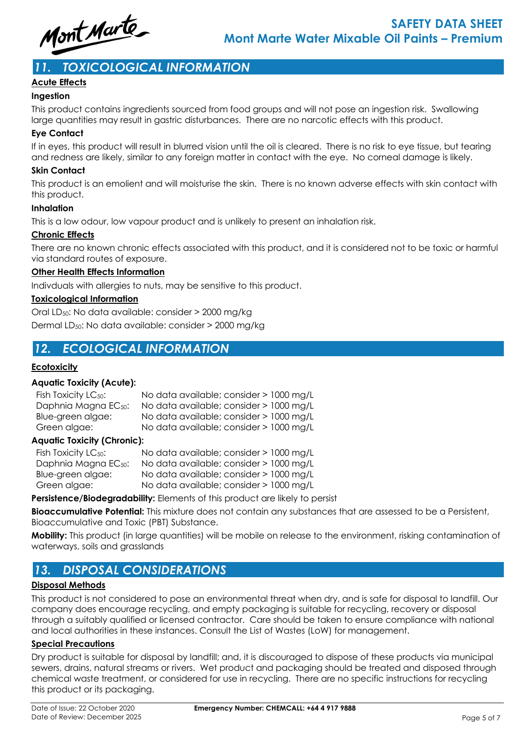

## *11. TOXICOLOGICAL INFORMATION*

### **Acute Effects**

### **Ingestion**

This product contains ingredients sourced from food groups and will not pose an ingestion risk. Swallowing large quantities may result in gastric disturbances. There are no narcotic effects with this product.

### **Eye Contact**

If in eyes, this product will result in blurred vision until the oil is cleared. There is no risk to eye tissue, but tearing and redness are likely, similar to any foreign matter in contact with the eye. No corneal damage is likely.

### **Skin Contact**

This product is an emolient and will moisturise the skin. There is no known adverse effects with skin contact with this product.

### **Inhalation**

This is a low odour, low vapour product and is unlikely to present an inhalation risk.

### **Chronic Effects**

There are no known chronic effects associated with this product, and it is considered not to be toxic or harmful via standard routes of exposure.

### **Other Health Effects Information**

Indivduals with allergies to nuts, may be sensitive to this product.

### **Toxicological Information**

Oral LD50: No data available: consider > 2000 mg/kg Dermal LD50: No data available: consider > 2000 mg/kg

### *12. ECOLOGICAL INFORMATION*

### **Ecotoxicity**

### **Aquatic Toxicity (Acute):**

| Fish Toxicity LC <sub>50</sub> : | No data available; consider > 1000 mg/L |
|----------------------------------|-----------------------------------------|
| Daphnia Magna EC <sub>50</sub> : | No data available; consider > 1000 mg/L |
| Blue-green algae:                | No data available; consider > 1000 mg/L |
| Green algae:                     | No data available; consider > 1000 mg/L |
|                                  |                                         |

### **Aquatic Toxicity (Chronic):**

| No data available; consider > 1000 mg/L |
|-----------------------------------------|
| No data available; consider > 1000 mg/L |
| No data available; consider > 1000 mg/L |
| No data available; consider > 1000 mg/L |
|                                         |

**Persistence/Biodegradability:** Elements of this product are likely to persist

**Bioaccumulative Potential:** This mixture does not contain any substances that are assessed to be a Persistent, Bioaccumulative and Toxic (PBT) Substance.

**Mobility:** This product (in large quantities) will be mobile on release to the environment, risking contamination of waterways, soils and grasslands

### *13. DISPOSAL CONSIDERATIONS*

### **Disposal Methods**

This product is not considered to pose an environmental threat when dry, and is safe for disposal to landfill. Our company does encourage recycling, and empty packaging is suitable for recycling, recovery or disposal through a suitably qualified or licensed contractor. Care should be taken to ensure compliance with national and local authorities in these instances. Consult the List of Wastes (LoW) for management.

### **Special Precautions**

Dry product is suitable for disposal by landfill; and, it is discouraged to dispose of these products via municipal sewers, drains, natural streams or rivers. Wet product and packaging should be treated and disposed through chemical waste treatment, or considered for use in recycling. There are no specific instructions for recycling this product or its packaging.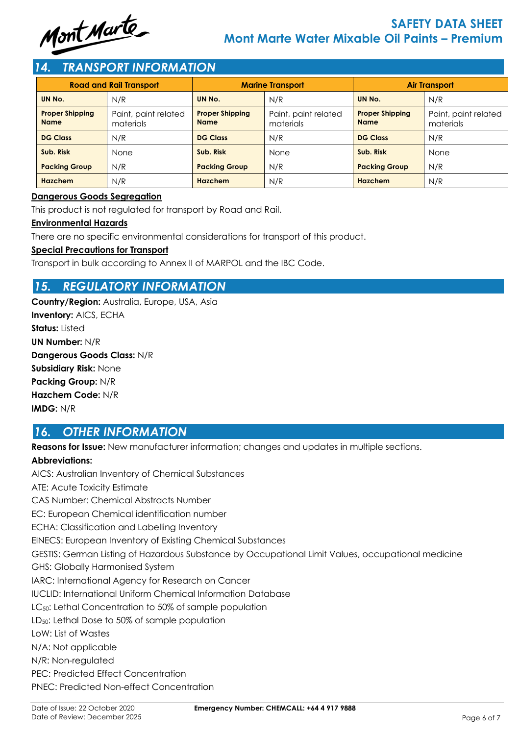

### **SAFETY DATA SHEET Mont Marte Water Mixable Oil Paints – Premium**

#### *14. TRANSPORT INFORMATION* **Road and Rail Transport Marine Transport Air Transport UN No.** N/R **UN No.** N/R **UN No.** N/R **Proper Shipping Name** Paint, paint related materials **Proper Shipping Name** Paint, paint related materials **Proper Shipping Name** Paint, paint related materials **DG Class** N/R **DG Class** N/R **DG Class** N/R **Sub. Risk** None **Sub. Risk** None **Sub. Risk** None **Packing Group** N/R **Packing Group** N/R **Packing Group** N/R **Hazchem** N/R **Hazchem** N/R **Hazchem** N/R

### **Dangerous Goods Segregation**

This product is not regulated for transport by Road and Rail.

### **Environmental Hazards**

There are no specific environmental considerations for transport of this product.

### **Special Precautions for Transport**

Transport in bulk according to Annex II of MARPOL and the IBC Code.

### *15. REGULATORY INFORMATION*

**Country/Region:** Australia, Europe, USA, Asia **Inventory:** AICS, ECHA **Status:** Listed **UN Number:** N/R **Dangerous Goods Class:** N/R **Subsidiary Risk:** None **Packing Group:** N/R **Hazchem Code:** N/R **IMDG:** N/R

### *16. OTHER INFORMATION*

**Reasons for Issue:** New manufacturer information; changes and updates in multiple sections.

### **Abbreviations:**

AICS: Australian Inventory of Chemical Substances ATE: Acute Toxicity Estimate CAS Number: Chemical Abstracts Number EC: European Chemical identification number ECHA: Classification and Labelling Inventory EINECS: European Inventory of Existing Chemical Substances GESTIS: German Listing of Hazardous Substance by Occupational Limit Values, occupational medicine GHS: Globally Harmonised System IARC: International Agency for Research on Cancer IUCLID: International Uniform Chemical Information Database LC<sub>50</sub>: Lethal Concentration to 50% of sample population LD<sub>50</sub>: Lethal Dose to 50% of sample population LoW: List of Wastes N/A: Not applicable N/R: Non-regulated PEC: Predicted Effect Concentration PNEC: Predicted Non-effect Concentration